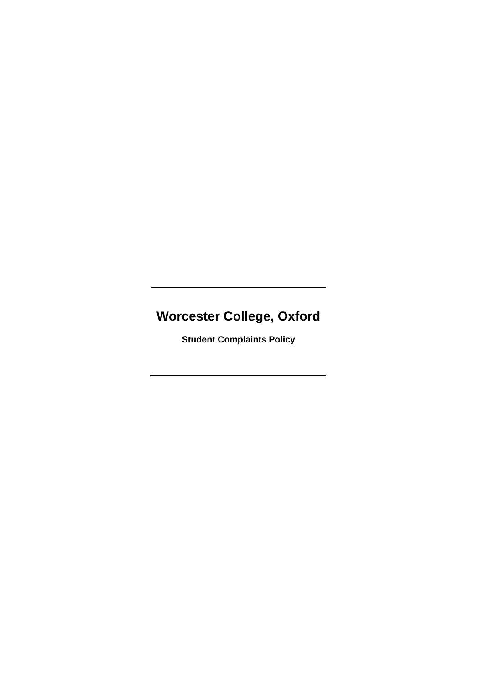# **Worcester College, Oxford**

**Student Complaints Policy**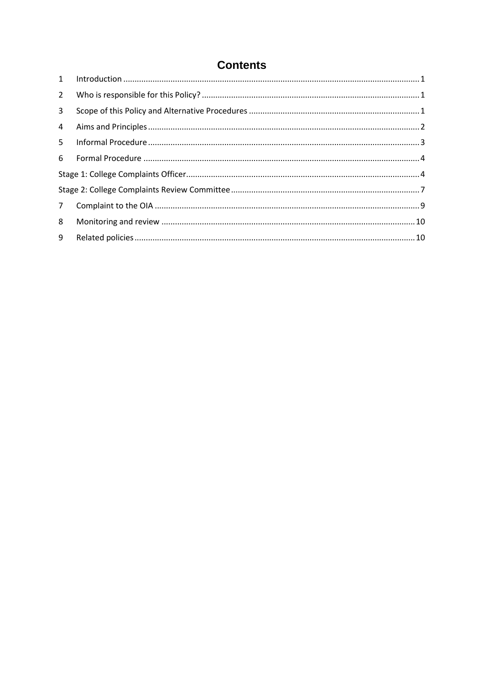## **Contents**

| $1 \quad$      |  |
|----------------|--|
| $2^{\circ}$    |  |
| 3 <sup>1</sup> |  |
| 4              |  |
| $5 -$          |  |
| 6              |  |
|                |  |
|                |  |
| 7 <sup>7</sup> |  |
| 8              |  |
| 9              |  |
|                |  |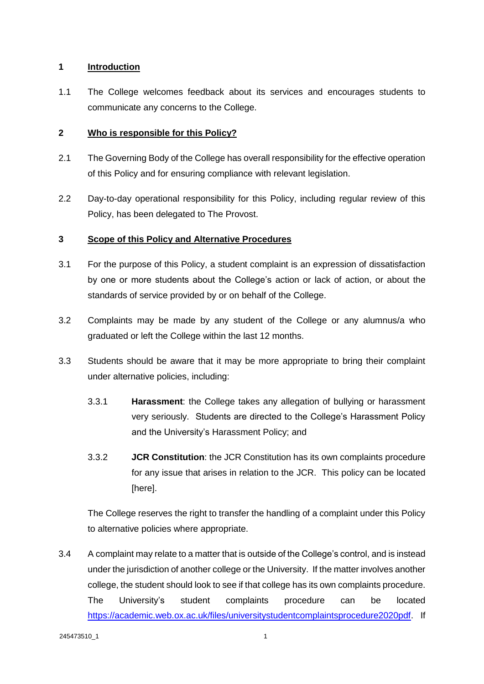## **1 Introduction**

1.1 The College welcomes feedback about its services and encourages students to communicate any concerns to the College.

## **2 Who is responsible for this Policy?**

- 2.1 The Governing Body of the College has overall responsibility for the effective operation of this Policy and for ensuring compliance with relevant legislation.
- 2.2 Day-to-day operational responsibility for this Policy, including regular review of this Policy, has been delegated to The Provost.

## **3 Scope of this Policy and Alternative Procedures**

- 3.1 For the purpose of this Policy, a student complaint is an expression of dissatisfaction by one or more students about the College's action or lack of action, or about the standards of service provided by or on behalf of the College.
- 3.2 Complaints may be made by any student of the College or any alumnus/a who graduated or left the College within the last 12 months.
- 3.3 Students should be aware that it may be more appropriate to bring their complaint under alternative policies, including:
	- 3.3.1 **Harassment**: the College takes any allegation of bullying or harassment very seriously. Students are directed to the College's Harassment Policy and the University's Harassment Policy; and
	- 3.3.2 **JCR Constitution**: the JCR Constitution has its own complaints procedure for any issue that arises in relation to the JCR. This policy can be located [here].

The College reserves the right to transfer the handling of a complaint under this Policy to alternative policies where appropriate.

3.4 A complaint may relate to a matter that is outside of the College's control, and is instead under the jurisdiction of another college or the University. If the matter involves another college, the student should look to see if that college has its own complaints procedure. The University's student complaints procedure can be located [https://academic.web.ox.ac.uk/files/universitystudentcomplaintsprocedure2020pdf.](https://academic.web.ox.ac.uk/files/universitystudentcomplaintsprocedure2020pdf) If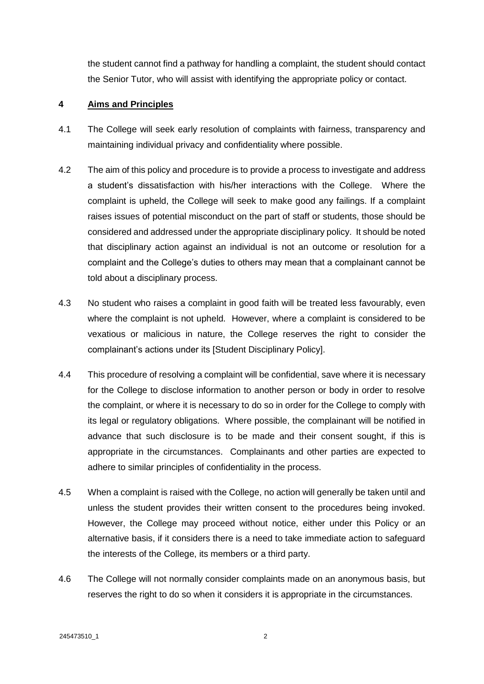the student cannot find a pathway for handling a complaint, the student should contact the Senior Tutor, who will assist with identifying the appropriate policy or contact.

## **4 Aims and Principles**

- 4.1 The College will seek early resolution of complaints with fairness, transparency and maintaining individual privacy and confidentiality where possible.
- 4.2 The aim of this policy and procedure is to provide a process to investigate and address a student's dissatisfaction with his/her interactions with the College. Where the complaint is upheld, the College will seek to make good any failings. If a complaint raises issues of potential misconduct on the part of staff or students, those should be considered and addressed under the appropriate disciplinary policy. It should be noted that disciplinary action against an individual is not an outcome or resolution for a complaint and the College's duties to others may mean that a complainant cannot be told about a disciplinary process.
- 4.3 No student who raises a complaint in good faith will be treated less favourably, even where the complaint is not upheld. However, where a complaint is considered to be vexatious or malicious in nature, the College reserves the right to consider the complainant's actions under its [Student Disciplinary Policy].
- 4.4 This procedure of resolving a complaint will be confidential, save where it is necessary for the College to disclose information to another person or body in order to resolve the complaint, or where it is necessary to do so in order for the College to comply with its legal or regulatory obligations. Where possible, the complainant will be notified in advance that such disclosure is to be made and their consent sought, if this is appropriate in the circumstances. Complainants and other parties are expected to adhere to similar principles of confidentiality in the process.
- 4.5 When a complaint is raised with the College, no action will generally be taken until and unless the student provides their written consent to the procedures being invoked. However, the College may proceed without notice, either under this Policy or an alternative basis, if it considers there is a need to take immediate action to safeguard the interests of the College, its members or a third party.
- 4.6 The College will not normally consider complaints made on an anonymous basis, but reserves the right to do so when it considers it is appropriate in the circumstances.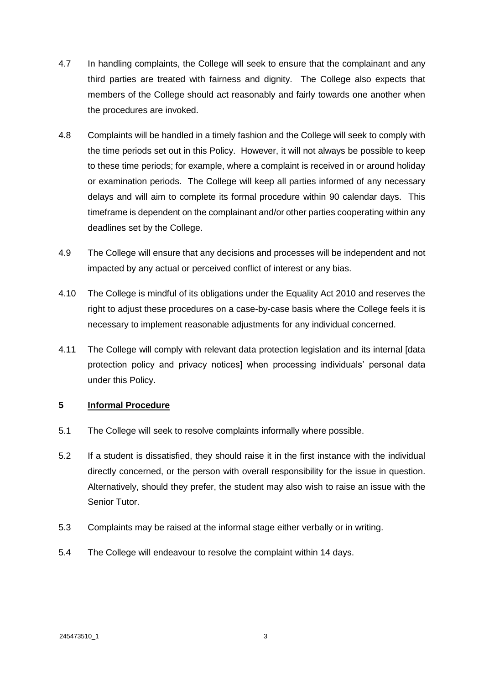- 4.7 In handling complaints, the College will seek to ensure that the complainant and any third parties are treated with fairness and dignity. The College also expects that members of the College should act reasonably and fairly towards one another when the procedures are invoked.
- 4.8 Complaints will be handled in a timely fashion and the College will seek to comply with the time periods set out in this Policy. However, it will not always be possible to keep to these time periods; for example, where a complaint is received in or around holiday or examination periods. The College will keep all parties informed of any necessary delays and will aim to complete its formal procedure within 90 calendar days. This timeframe is dependent on the complainant and/or other parties cooperating within any deadlines set by the College.
- 4.9 The College will ensure that any decisions and processes will be independent and not impacted by any actual or perceived conflict of interest or any bias.
- 4.10 The College is mindful of its obligations under the Equality Act 2010 and reserves the right to adjust these procedures on a case-by-case basis where the College feels it is necessary to implement reasonable adjustments for any individual concerned.
- 4.11 The College will comply with relevant data protection legislation and its internal [data protection policy and privacy notices] when processing individuals' personal data under this Policy.

## **5 Informal Procedure**

- 5.1 The College will seek to resolve complaints informally where possible.
- 5.2 If a student is dissatisfied, they should raise it in the first instance with the individual directly concerned, or the person with overall responsibility for the issue in question. Alternatively, should they prefer, the student may also wish to raise an issue with the Senior Tutor.
- 5.3 Complaints may be raised at the informal stage either verbally or in writing.
- 5.4 The College will endeavour to resolve the complaint within 14 days.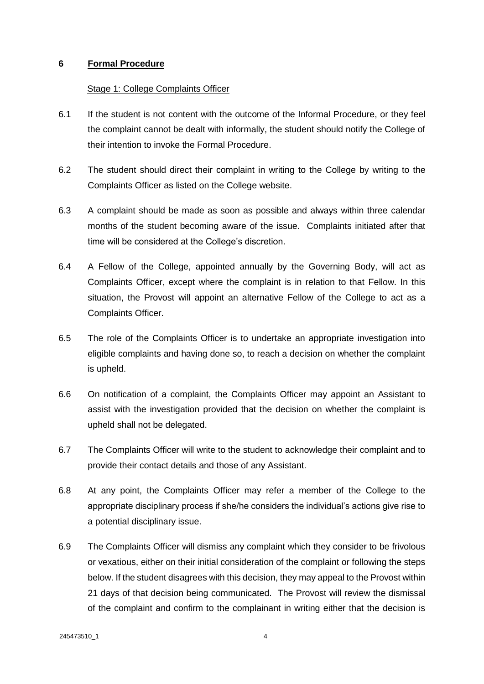#### **6 Formal Procedure**

#### Stage 1: College Complaints Officer

- 6.1 If the student is not content with the outcome of the Informal Procedure, or they feel the complaint cannot be dealt with informally, the student should notify the College of their intention to invoke the Formal Procedure.
- 6.2 The student should direct their complaint in writing to the College by writing to the Complaints Officer as listed on the College website.
- 6.3 A complaint should be made as soon as possible and always within three calendar months of the student becoming aware of the issue. Complaints initiated after that time will be considered at the College's discretion.
- 6.4 A Fellow of the College, appointed annually by the Governing Body, will act as Complaints Officer, except where the complaint is in relation to that Fellow. In this situation, the Provost will appoint an alternative Fellow of the College to act as a Complaints Officer.
- 6.5 The role of the Complaints Officer is to undertake an appropriate investigation into eligible complaints and having done so, to reach a decision on whether the complaint is upheld.
- 6.6 On notification of a complaint, the Complaints Officer may appoint an Assistant to assist with the investigation provided that the decision on whether the complaint is upheld shall not be delegated.
- 6.7 The Complaints Officer will write to the student to acknowledge their complaint and to provide their contact details and those of any Assistant.
- 6.8 At any point, the Complaints Officer may refer a member of the College to the appropriate disciplinary process if she/he considers the individual's actions give rise to a potential disciplinary issue.
- 6.9 The Complaints Officer will dismiss any complaint which they consider to be frivolous or vexatious, either on their initial consideration of the complaint or following the steps below. If the student disagrees with this decision, they may appeal to the Provost within 21 days of that decision being communicated. The Provost will review the dismissal of the complaint and confirm to the complainant in writing either that the decision is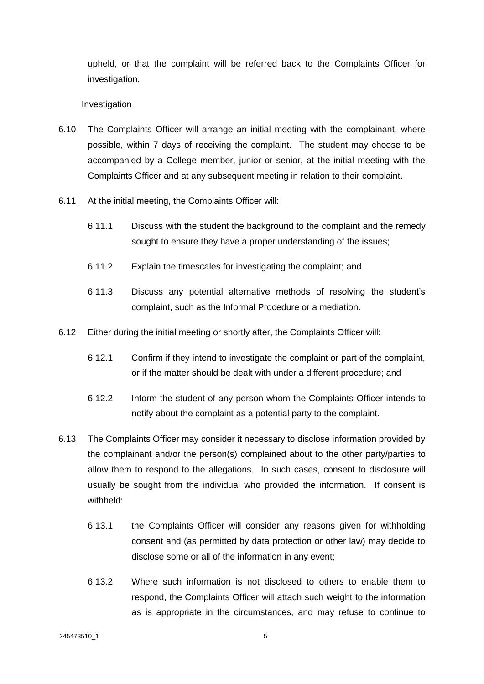upheld, or that the complaint will be referred back to the Complaints Officer for investigation.

#### **Investigation**

- 6.10 The Complaints Officer will arrange an initial meeting with the complainant, where possible, within 7 days of receiving the complaint. The student may choose to be accompanied by a College member, junior or senior, at the initial meeting with the Complaints Officer and at any subsequent meeting in relation to their complaint.
- 6.11 At the initial meeting, the Complaints Officer will:
	- 6.11.1 Discuss with the student the background to the complaint and the remedy sought to ensure they have a proper understanding of the issues;
	- 6.11.2 Explain the timescales for investigating the complaint; and
	- 6.11.3 Discuss any potential alternative methods of resolving the student's complaint, such as the Informal Procedure or a mediation.
- 6.12 Either during the initial meeting or shortly after, the Complaints Officer will:
	- 6.12.1 Confirm if they intend to investigate the complaint or part of the complaint, or if the matter should be dealt with under a different procedure; and
	- 6.12.2 Inform the student of any person whom the Complaints Officer intends to notify about the complaint as a potential party to the complaint.
- 6.13 The Complaints Officer may consider it necessary to disclose information provided by the complainant and/or the person(s) complained about to the other party/parties to allow them to respond to the allegations. In such cases, consent to disclosure will usually be sought from the individual who provided the information. If consent is withheld:
	- 6.13.1 the Complaints Officer will consider any reasons given for withholding consent and (as permitted by data protection or other law) may decide to disclose some or all of the information in any event;
	- 6.13.2 Where such information is not disclosed to others to enable them to respond, the Complaints Officer will attach such weight to the information as is appropriate in the circumstances, and may refuse to continue to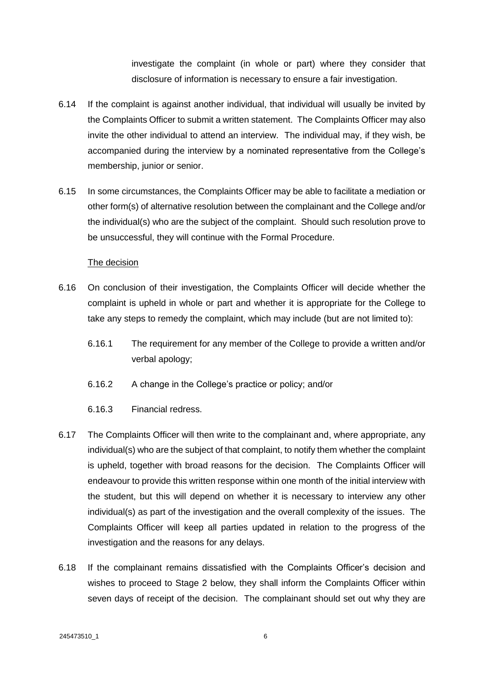investigate the complaint (in whole or part) where they consider that disclosure of information is necessary to ensure a fair investigation.

- 6.14 If the complaint is against another individual, that individual will usually be invited by the Complaints Officer to submit a written statement. The Complaints Officer may also invite the other individual to attend an interview. The individual may, if they wish, be accompanied during the interview by a nominated representative from the College's membership, junior or senior.
- 6.15 In some circumstances, the Complaints Officer may be able to facilitate a mediation or other form(s) of alternative resolution between the complainant and the College and/or the individual(s) who are the subject of the complaint. Should such resolution prove to be unsuccessful, they will continue with the Formal Procedure.

#### The decision

- 6.16 On conclusion of their investigation, the Complaints Officer will decide whether the complaint is upheld in whole or part and whether it is appropriate for the College to take any steps to remedy the complaint, which may include (but are not limited to):
	- 6.16.1 The requirement for any member of the College to provide a written and/or verbal apology;
	- 6.16.2 A change in the College's practice or policy; and/or
	- 6.16.3 Financial redress.
- 6.17 The Complaints Officer will then write to the complainant and, where appropriate, any individual(s) who are the subject of that complaint, to notify them whether the complaint is upheld, together with broad reasons for the decision. The Complaints Officer will endeavour to provide this written response within one month of the initial interview with the student, but this will depend on whether it is necessary to interview any other individual(s) as part of the investigation and the overall complexity of the issues. The Complaints Officer will keep all parties updated in relation to the progress of the investigation and the reasons for any delays.
- 6.18 If the complainant remains dissatisfied with the Complaints Officer's decision and wishes to proceed to Stage 2 below, they shall inform the Complaints Officer within seven days of receipt of the decision. The complainant should set out why they are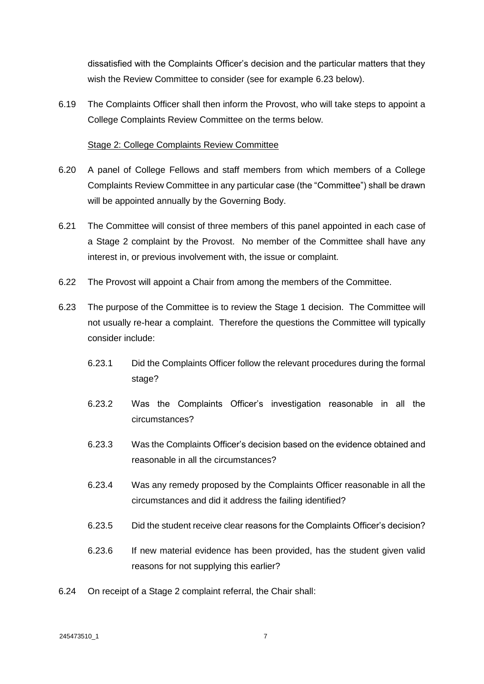dissatisfied with the Complaints Officer's decision and the particular matters that they wish the Review Committee to consider (see for example 6.23 below).

6.19 The Complaints Officer shall then inform the Provost, who will take steps to appoint a College Complaints Review Committee on the terms below.

#### Stage 2: College Complaints Review Committee

- 6.20 A panel of College Fellows and staff members from which members of a College Complaints Review Committee in any particular case (the "Committee") shall be drawn will be appointed annually by the Governing Body.
- 6.21 The Committee will consist of three members of this panel appointed in each case of a Stage 2 complaint by the Provost. No member of the Committee shall have any interest in, or previous involvement with, the issue or complaint.
- 6.22 The Provost will appoint a Chair from among the members of the Committee.
- 6.23 The purpose of the Committee is to review the Stage 1 decision. The Committee will not usually re-hear a complaint. Therefore the questions the Committee will typically consider include:
	- 6.23.1 Did the Complaints Officer follow the relevant procedures during the formal stage?
	- 6.23.2 Was the Complaints Officer's investigation reasonable in all the circumstances?
	- 6.23.3 Was the Complaints Officer's decision based on the evidence obtained and reasonable in all the circumstances?
	- 6.23.4 Was any remedy proposed by the Complaints Officer reasonable in all the circumstances and did it address the failing identified?
	- 6.23.5 Did the student receive clear reasons for the Complaints Officer's decision?
	- 6.23.6 If new material evidence has been provided, has the student given valid reasons for not supplying this earlier?
- 6.24 On receipt of a Stage 2 complaint referral, the Chair shall: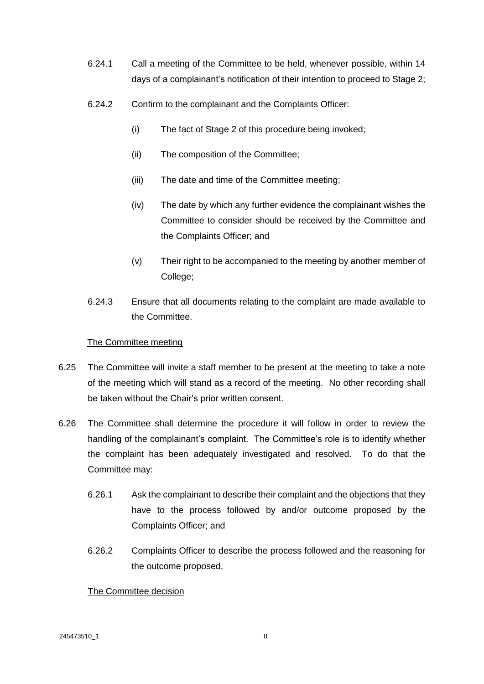- 6.24.1 Call a meeting of the Committee to be held, whenever possible, within 14 days of a complainant's notification of their intention to proceed to Stage 2;
- 6.24.2 Confirm to the complainant and the Complaints Officer:
	- (i) The fact of Stage 2 of this procedure being invoked;
	- (ii) The composition of the Committee;
	- (iii) The date and time of the Committee meeting;
	- (iv) The date by which any further evidence the complainant wishes the Committee to consider should be received by the Committee and the Complaints Officer; and
	- (v) Their right to be accompanied to the meeting by another member of College;
- 6.24.3 Ensure that all documents relating to the complaint are made available to the Committee.

## The Committee meeting

- 6.25 The Committee will invite a staff member to be present at the meeting to take a note of the meeting which will stand as a record of the meeting. No other recording shall be taken without the Chair's prior written consent.
- 6.26 The Committee shall determine the procedure it will follow in order to review the handling of the complainant's complaint. The Committee's role is to identify whether the complaint has been adequately investigated and resolved. To do that the Committee may:
	- 6.26.1 Ask the complainant to describe their complaint and the objections that they have to the process followed by and/or outcome proposed by the Complaints Officer; and
	- 6.26.2 Complaints Officer to describe the process followed and the reasoning for the outcome proposed.

## The Committee decision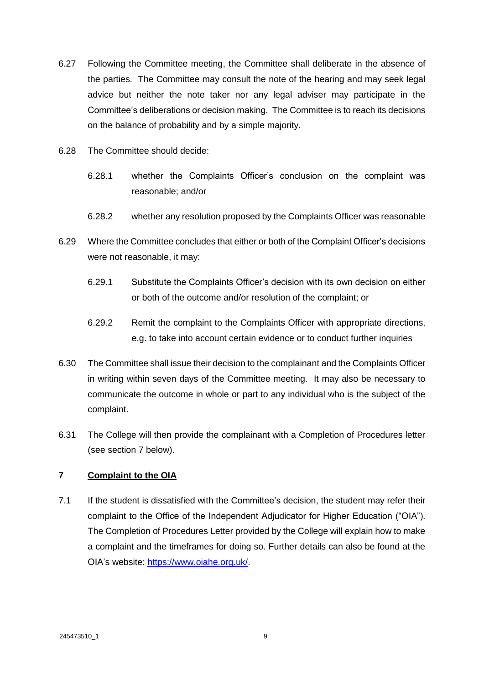- 6.27 Following the Committee meeting, the Committee shall deliberate in the absence of the parties. The Committee may consult the note of the hearing and may seek legal advice but neither the note taker nor any legal adviser may participate in the Committee's deliberations or decision making. The Committee is to reach its decisions on the balance of probability and by a simple majority.
- 6.28 The Committee should decide:
	- 6.28.1 whether the Complaints Officer's conclusion on the complaint was reasonable; and/or
	- 6.28.2 whether any resolution proposed by the Complaints Officer was reasonable
- 6.29 Where the Committee concludes that either or both of the Complaint Officer's decisions were not reasonable, it may:
	- 6.29.1 Substitute the Complaints Officer's decision with its own decision on either or both of the outcome and/or resolution of the complaint; or
	- 6.29.2 Remit the complaint to the Complaints Officer with appropriate directions, e.g. to take into account certain evidence or to conduct further inquiries
- 6.30 The Committee shall issue their decision to the complainant and the Complaints Officer in writing within seven days of the Committee meeting. It may also be necessary to communicate the outcome in whole or part to any individual who is the subject of the complaint.
- 6.31 The College will then provide the complainant with a Completion of Procedures letter (see section [7](#page-10-0) below).

## <span id="page-10-0"></span>**7 Complaint to the OIA**

7.1 If the student is dissatisfied with the Committee's decision, the student may refer their complaint to the Office of the Independent Adjudicator for Higher Education ("OIA"). The Completion of Procedures Letter provided by the College will explain how to make a complaint and the timeframes for doing so. Further details can also be found at the OIA's website: [https://www.oiahe.org.uk/.](https://www.oiahe.org.uk/)